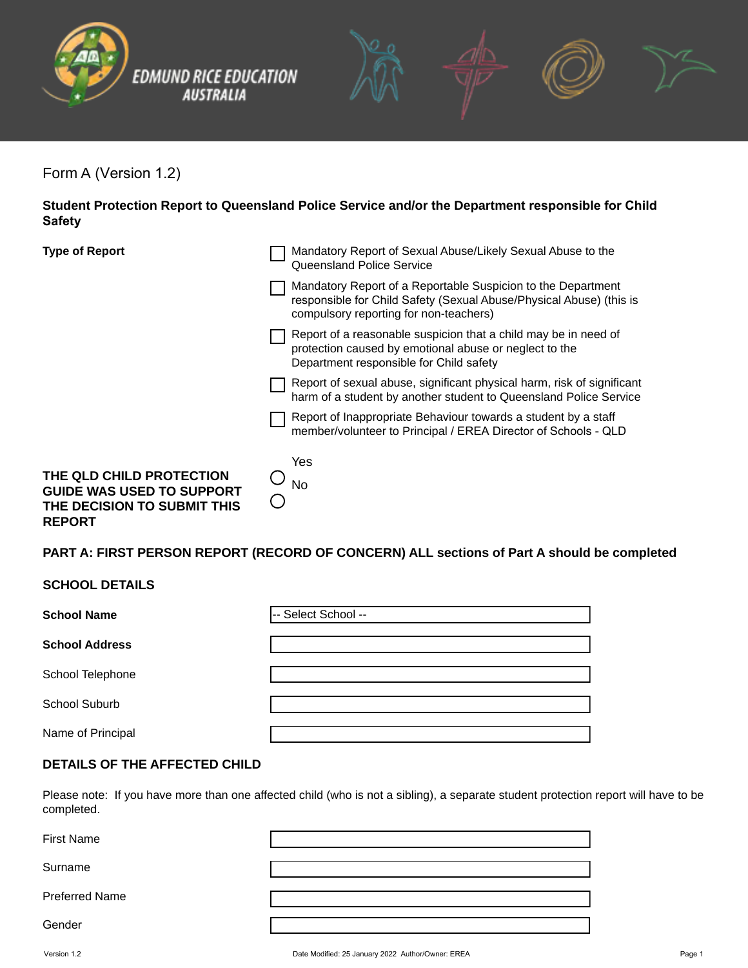



Form A (Version 1.2)

**Student Protection Report to Queensland Police Service and/or the Department responsible for Child Safety**

| <b>Type of Report</b>                                                                                        | Mandatory Report of Sexual Abuse/Likely Sexual Abuse to the<br>Queensland Police Service                                                                                      |  |
|--------------------------------------------------------------------------------------------------------------|-------------------------------------------------------------------------------------------------------------------------------------------------------------------------------|--|
|                                                                                                              | Mandatory Report of a Reportable Suspicion to the Department<br>responsible for Child Safety (Sexual Abuse/Physical Abuse) (this is<br>compulsory reporting for non-teachers) |  |
|                                                                                                              | Report of a reasonable suspicion that a child may be in need of<br>protection caused by emotional abuse or neglect to the<br>Department responsible for Child safety          |  |
|                                                                                                              | Report of sexual abuse, significant physical harm, risk of significant<br>harm of a student by another student to Queensland Police Service                                   |  |
|                                                                                                              | Report of Inappropriate Behaviour towards a student by a staff<br>member/volunteer to Principal / EREA Director of Schools - QLD                                              |  |
| THE QLD CHILD PROTECTION<br><b>GUIDE WAS USED TO SUPPORT</b><br>THE DECISION TO SUBMIT THIS<br><b>REPORT</b> | Yes<br><b>No</b>                                                                                                                                                              |  |

# **PART A: FIRST PERSON REPORT (RECORD OF CONCERN) ALL sections of Part A should be completed**

### **SCHOOL DETAILS**

| <b>School Name</b>    | -- Select School -- |
|-----------------------|---------------------|
| <b>School Address</b> |                     |
| School Telephone      |                     |
| School Suburb         |                     |
| Name of Principal     |                     |

### **DETAILS OF THE AFFECTED CHILD**

Please note: If you have more than one affected child (who is not a sibling), a separate student protection report will have to be completed.

| First Name     |  |
|----------------|--|
| Surname        |  |
| Preferred Name |  |
| Gender         |  |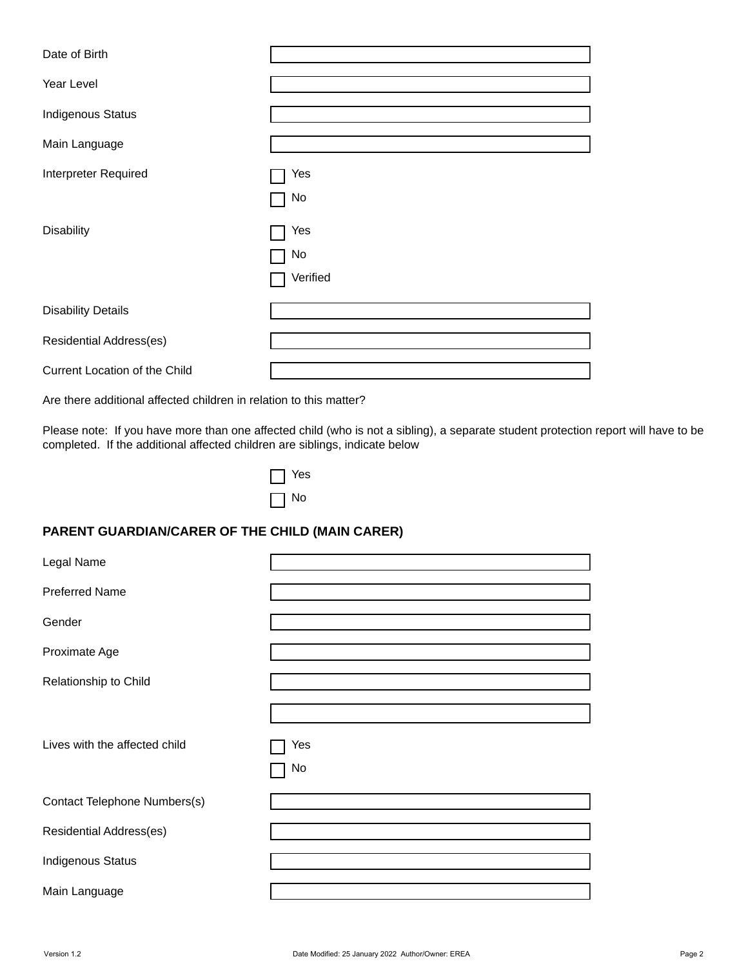| Date of Birth                 |                       |
|-------------------------------|-----------------------|
| Year Level                    |                       |
| <b>Indigenous Status</b>      | $\blacktriangledown$  |
| Main Language                 |                       |
| Interpreter Required          | Yes<br>No             |
| <b>Disability</b>             | Yes<br>No<br>Verified |
| <b>Disability Details</b>     |                       |
| Residential Address(es)       |                       |
| Current Location of the Child |                       |

Are there additional affected children in relation to this matter?

Please note: If you have more than one affected child (who is not a sibling), a separate student protection report will have to be completed. If the additional affected children are siblings, indicate below

| es |
|----|
| O  |

# **PARENT GUARDIAN/CARER OF THE CHILD (MAIN CARER)**

| Legal Name                    |                      |
|-------------------------------|----------------------|
| <b>Preferred Name</b>         |                      |
| Gender                        |                      |
| Proximate Age                 |                      |
| Relationship to Child         |                      |
|                               |                      |
| Lives with the affected child | Yes<br>No            |
| Contact Telephone Numbers(s)  |                      |
| Residential Address(es)       |                      |
| <b>Indigenous Status</b>      | $\blacktriangledown$ |
| Main Language                 |                      |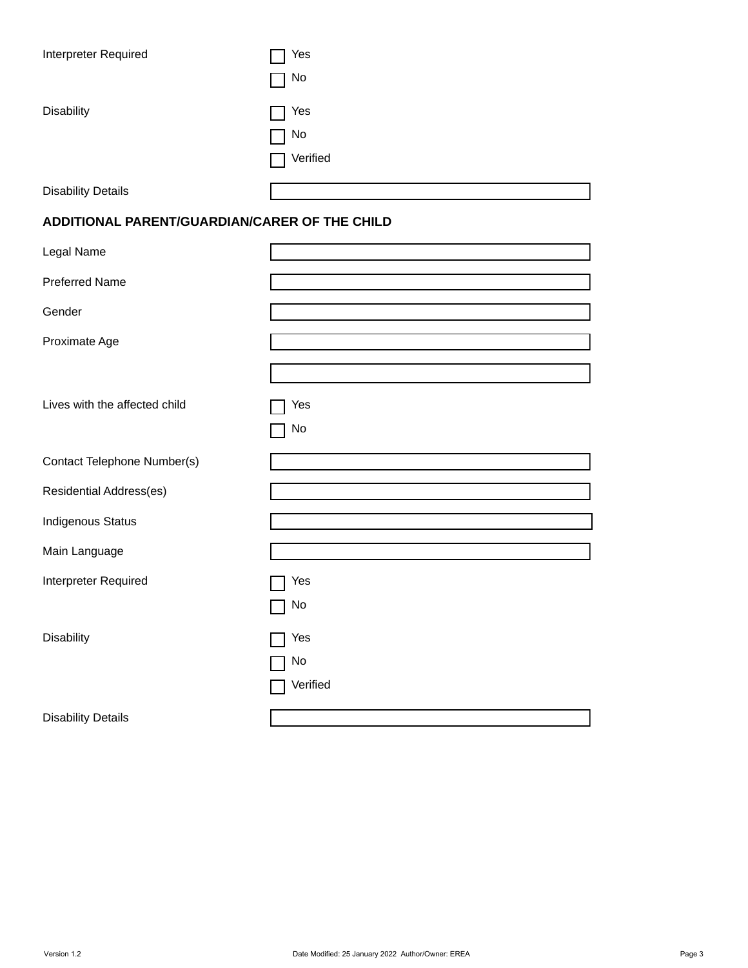| Interpreter Required                          | Yes<br>No                |
|-----------------------------------------------|--------------------------|
| <b>Disability</b>                             | Yes<br>No<br>Verified    |
| <b>Disability Details</b>                     |                          |
| ADDITIONAL PARENT/GUARDIAN/CARER OF THE CHILD |                          |
| Legal Name                                    |                          |
| <b>Preferred Name</b>                         |                          |
| Gender                                        |                          |
| Proximate Age                                 |                          |
|                                               |                          |
| Lives with the affected child                 | Yes<br>No                |
| Contact Telephone Number(s)                   |                          |
| Residential Address(es)                       |                          |
| <b>Indigenous Status</b>                      | $\vert \textbf{v} \vert$ |
| Main Language                                 |                          |
| Interpreter Required                          | Yes                      |
|                                               | No                       |
| Disability                                    | Yes                      |
|                                               | No                       |
|                                               | Verified                 |
| <b>Disability Details</b>                     |                          |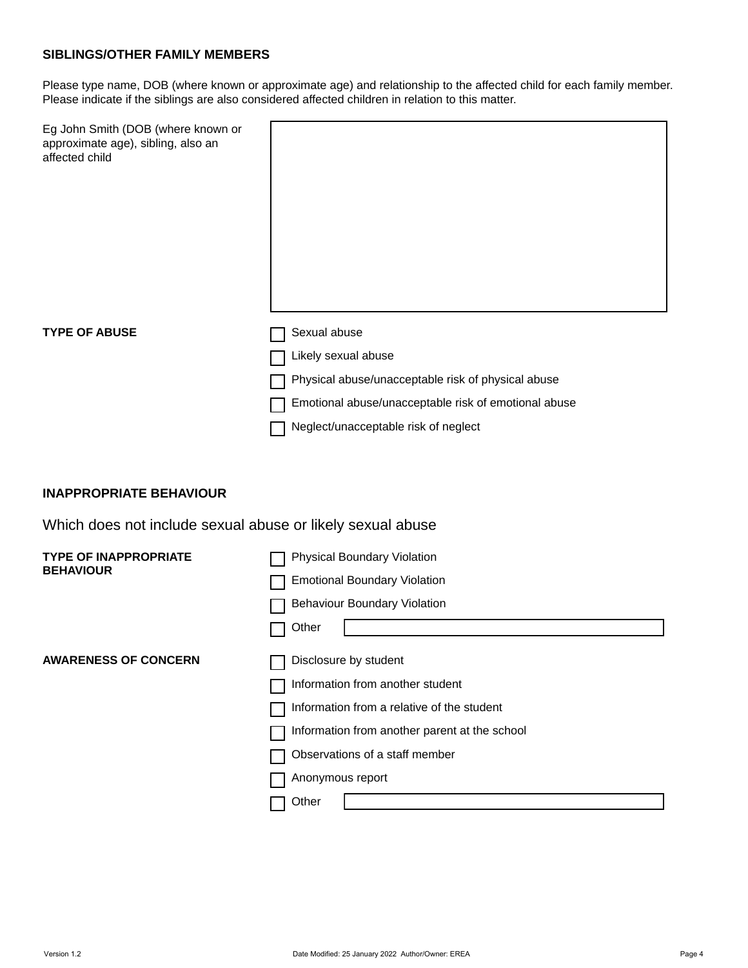### **SIBLINGS/OTHER FAMILY MEMBERS**

Please type name, DOB (where known or approximate age) and relationship to the affected child for each family member. Please indicate if the siblings are also considered affected children in relation to this matter.

| Eg John Smith (DOB (where known or<br>approximate age), sibling, also an<br>affected child |                                                      |
|--------------------------------------------------------------------------------------------|------------------------------------------------------|
| <b>TYPE OF ABUSE</b>                                                                       | Sexual abuse                                         |
|                                                                                            | Likely sexual abuse                                  |
|                                                                                            | Physical abuse/unacceptable risk of physical abuse   |
|                                                                                            | Emotional abuse/unacceptable risk of emotional abuse |
|                                                                                            | Neglect/unacceptable risk of neglect                 |

### **INAPPROPRIATE BEHAVIOUR**

Which does not include sexual abuse or likely sexual abuse

| <b>TYPE OF INAPPROPRIATE</b><br><b>BEHAVIOUR</b> | <b>Physical Boundary Violation</b>            |
|--------------------------------------------------|-----------------------------------------------|
|                                                  | <b>Emotional Boundary Violation</b>           |
|                                                  | <b>Behaviour Boundary Violation</b>           |
|                                                  | Other                                         |
| <b>AWARENESS OF CONCERN</b>                      | Disclosure by student                         |
|                                                  | Information from another student              |
|                                                  | Information from a relative of the student    |
|                                                  | Information from another parent at the school |
|                                                  | Observations of a staff member                |
|                                                  | Anonymous report                              |
|                                                  | Other                                         |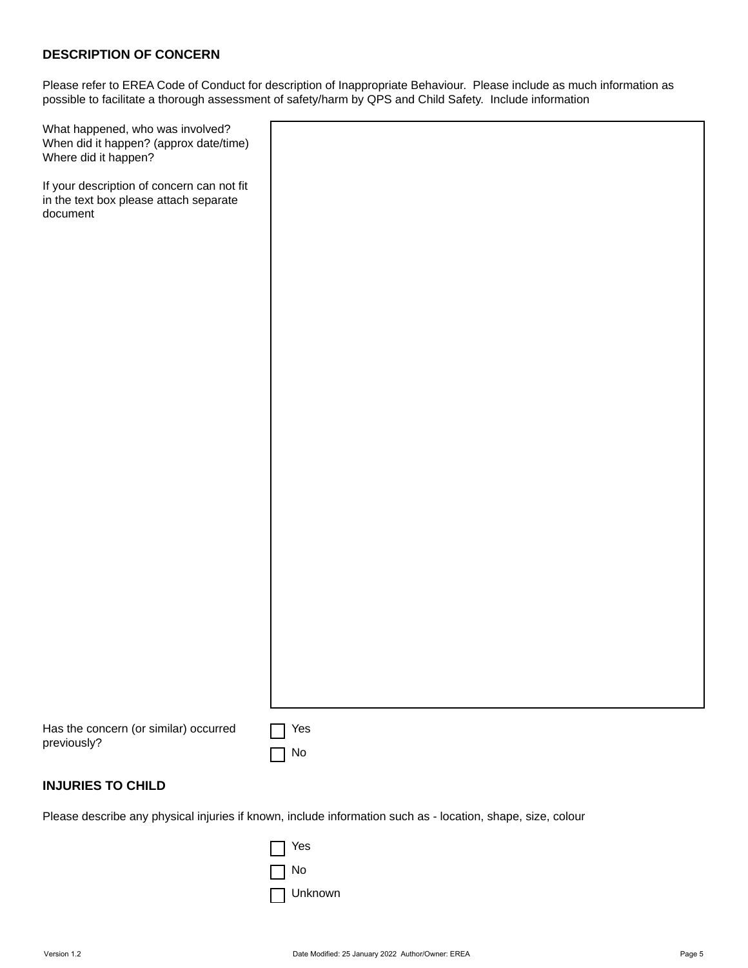### **DESCRIPTION OF CONCERN**

Please refer to EREA Code of Conduct for description of Inappropriate Behaviour. Please include as much information as possible to facilitate a thorough assessment of safety/harm by QPS and Child Safety. Include information

| What happened, who was involved?       |  |
|----------------------------------------|--|
| When did it happen? (approx date/time) |  |
| Where did it happen?                   |  |

If your description of concern can not fit in the text box please attach separate document

| Has the concern (or similar) occurred |
|---------------------------------------|
| previously?                           |

| Yes |
|-----|
| N٥  |

### **INJURIES TO CHILD**

Please describe any physical injuries if known, include information such as - location, shape, size, colour

| Yes     |
|---------|
| No      |
| Unknown |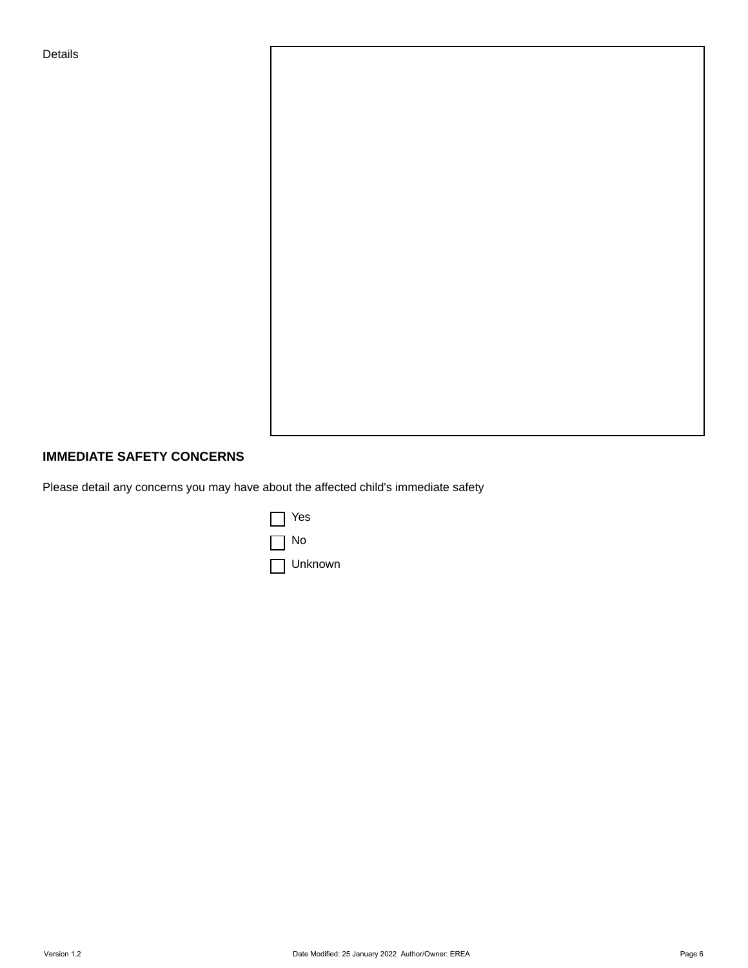Details

# **IMMEDIATE SAFETY CONCERNS**

Please detail any concerns you may have about the affected child's immediate safety

| Yes     |
|---------|
| No      |
| Unknown |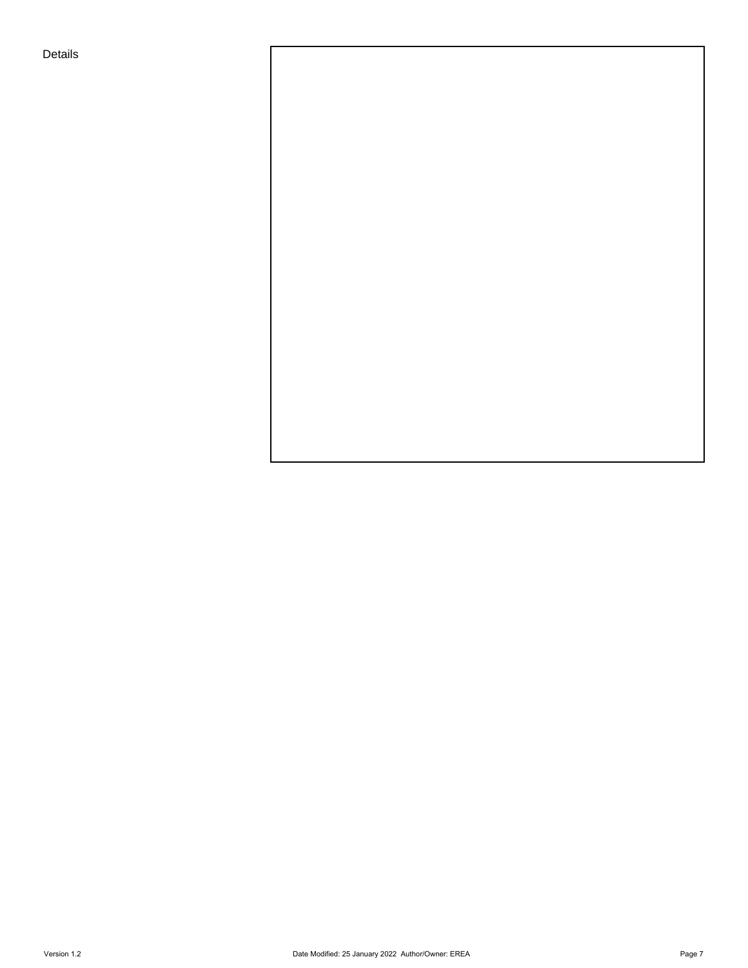Details

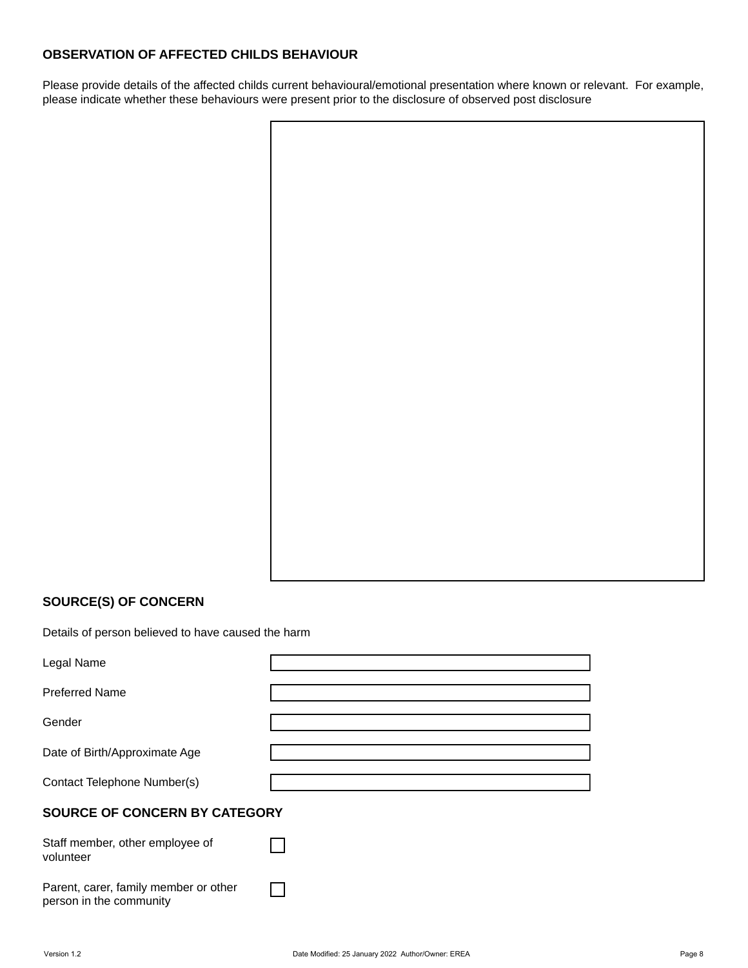### **OBSERVATION OF AFFECTED CHILDS BEHAVIOUR**

Please provide details of the affected childs current behavioural/emotional presentation where known or relevant. For example, please indicate whether these behaviours were present prior to the disclosure of observed post disclosure

# **SOURCE(S) OF CONCERN**

Details of person believed to have caused the harm

| Legal Name                            |  |
|---------------------------------------|--|
|                                       |  |
| <b>Preferred Name</b>                 |  |
|                                       |  |
| Gender                                |  |
|                                       |  |
| Date of Birth/Approximate Age         |  |
|                                       |  |
| Contact Telephone Number(s)           |  |
|                                       |  |
| SOURCE OF CONCERN BY CATEGORY         |  |
|                                       |  |
| Staff member, other employee of       |  |
| volunteer                             |  |
|                                       |  |
| Parent, carer, family member or other |  |
|                                       |  |
| person in the community               |  |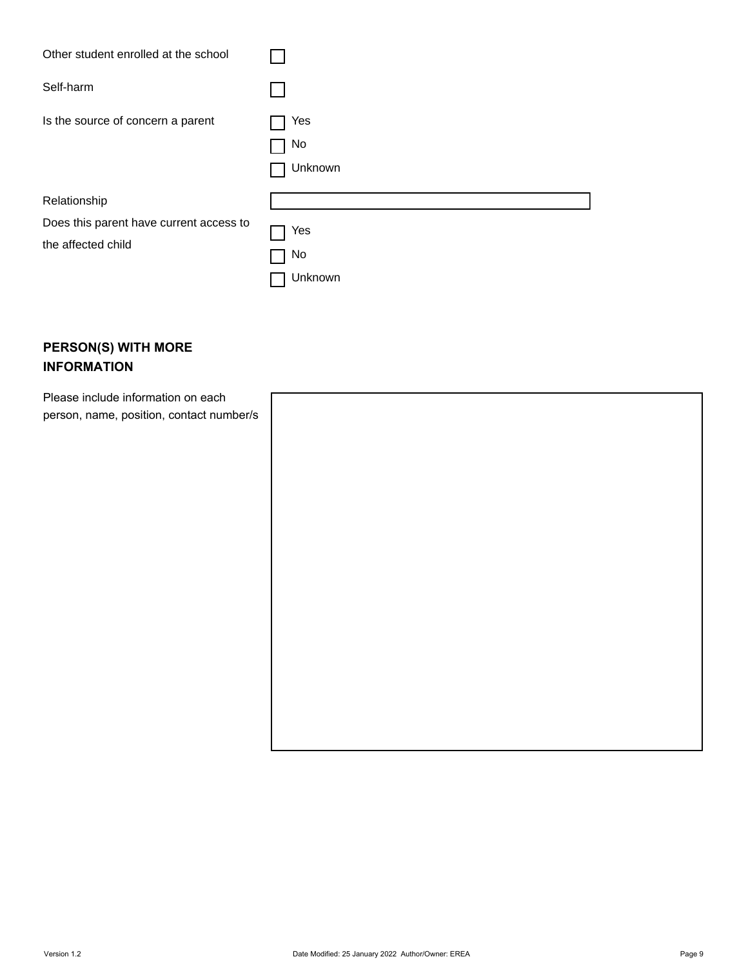| Other student enrolled at the school    |                      |
|-----------------------------------------|----------------------|
| Self-harm                               |                      |
| Is the source of concern a parent       | Yes<br>No<br>Unknown |
| Relationship                            |                      |
| Does this parent have current access to | Yes                  |
| the affected child                      | No                   |
|                                         | Unknown              |

# **PERSON(S) WITH MORE INFORMATION**

Please include information on each person, name, position, contact number/s

| 's |  |  |  |
|----|--|--|--|
|    |  |  |  |
|    |  |  |  |
|    |  |  |  |
|    |  |  |  |
|    |  |  |  |
|    |  |  |  |
|    |  |  |  |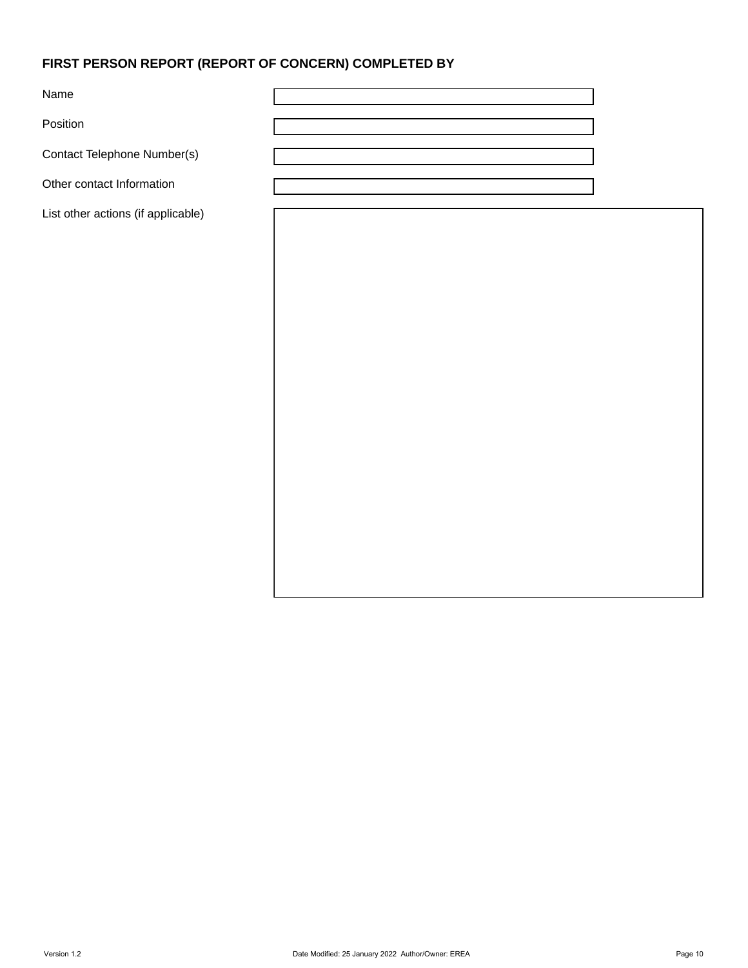# **FIRST PERSON REPORT (REPORT OF CONCERN) COMPLETED BY**

Name

Position

Contact Telephone Number(s)

Other contact Information

List other actions (if applicable)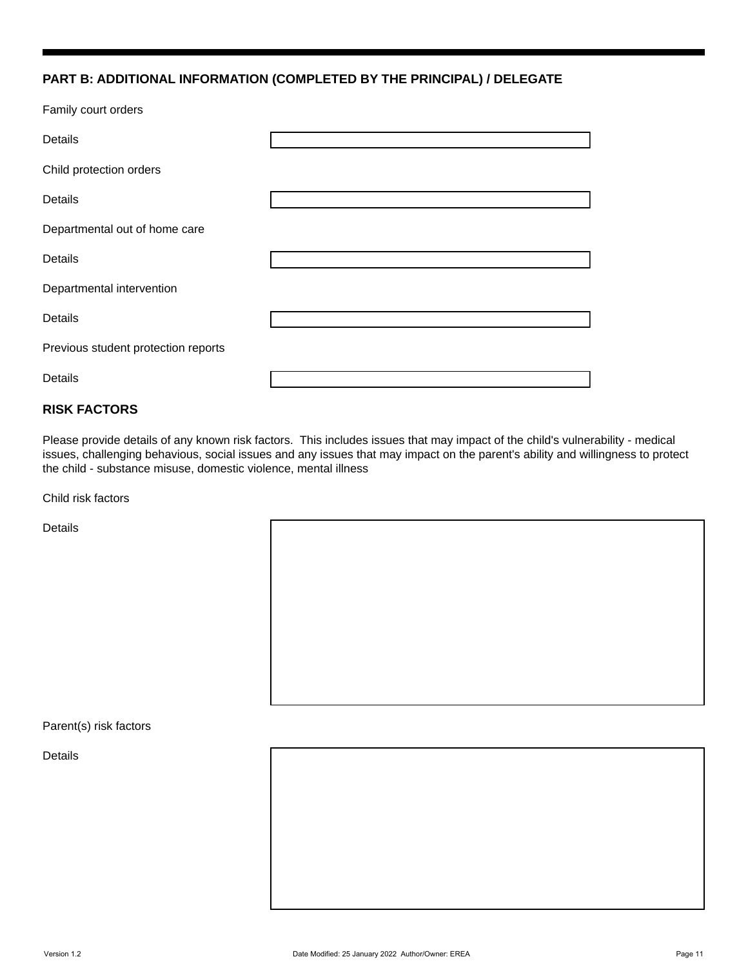#### **PART B: ADDITIONAL INFORMATION (COMPLETED BY THE PRINCIPAL) / DELEGATE**

Family court orders

| <b>Details</b>                      |  |
|-------------------------------------|--|
| Child protection orders             |  |
| <b>Details</b>                      |  |
| Departmental out of home care       |  |
| Details                             |  |
| Departmental intervention           |  |
| <b>Details</b>                      |  |
| Previous student protection reports |  |
| Details                             |  |

### **RISK FACTORS**

Please provide details of any known risk factors. This includes issues that may impact of the child's vulnerability - medical issues, challenging behavious, social issues and any issues that may impact on the parent's ability and willingness to protect the child - substance misuse, domestic violence, mental illness

Child risk factors

Details

Parent(s) risk factors

Details

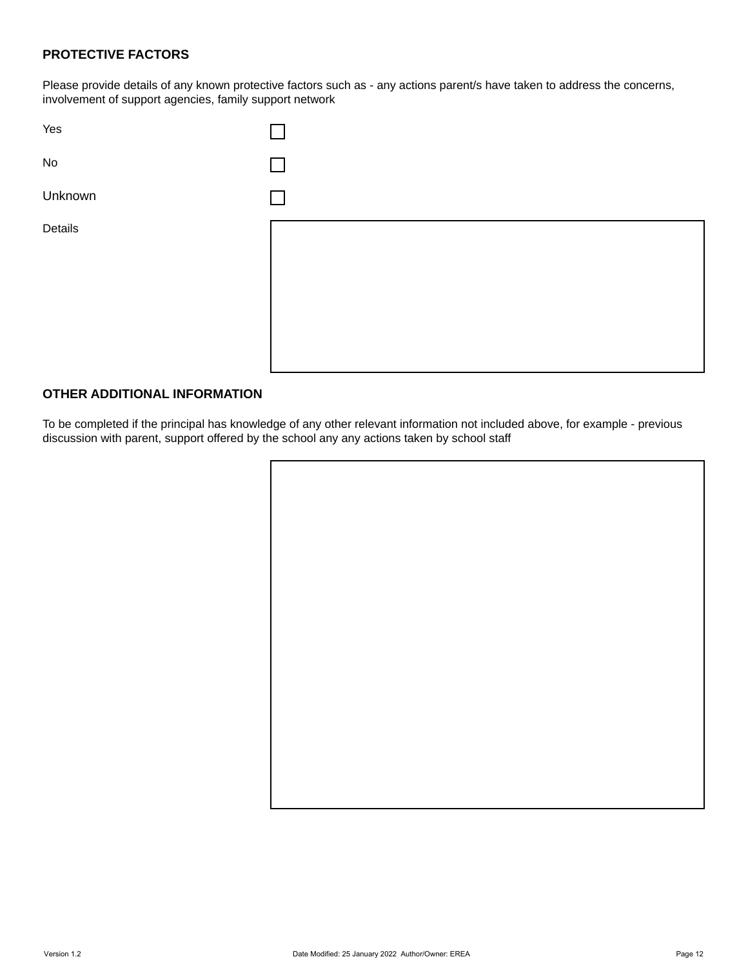### **PROTECTIVE FACTORS**

Please provide details of any known protective factors such as - any actions parent/s have taken to address the concerns, involvement of support agencies, family support network



#### **OTHER ADDITIONAL INFORMATION**

To be completed if the principal has knowledge of any other relevant information not included above, for example - previous discussion with parent, support offered by the school any any actions taken by school staff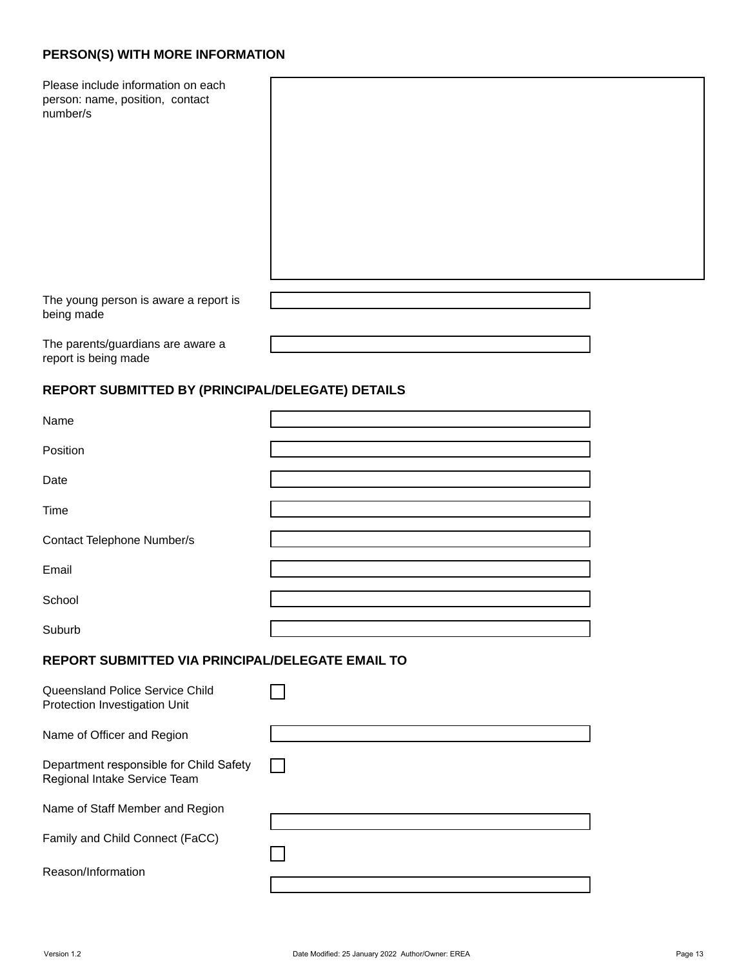# **PERSON(S) WITH MORE INFORMATION**

Please include information on each person: name, position, contact number/s

The young person is aware a report is being made

The parents/guardians are aware a report is being made

# **REPORT SUBMITTED BY (PRINCIPAL/DELEGATE) DETAILS**

| Name                                                                    |  |
|-------------------------------------------------------------------------|--|
|                                                                         |  |
| Position                                                                |  |
| Date                                                                    |  |
|                                                                         |  |
| Time                                                                    |  |
| Contact Telephone Number/s                                              |  |
| Email                                                                   |  |
| School                                                                  |  |
| Suburb                                                                  |  |
|                                                                         |  |
| REPORT SUBMITTED VIA PRINCIPAL/DELEGATE EMAIL TO                        |  |
| Queensland Police Service Child<br>Protection Investigation Unit        |  |
| Name of Officer and Region                                              |  |
| Department responsible for Child Safety<br>Regional Intake Service Team |  |
| Name of Staff Member and Region                                         |  |
| Family and Child Connect (FaCC)                                         |  |